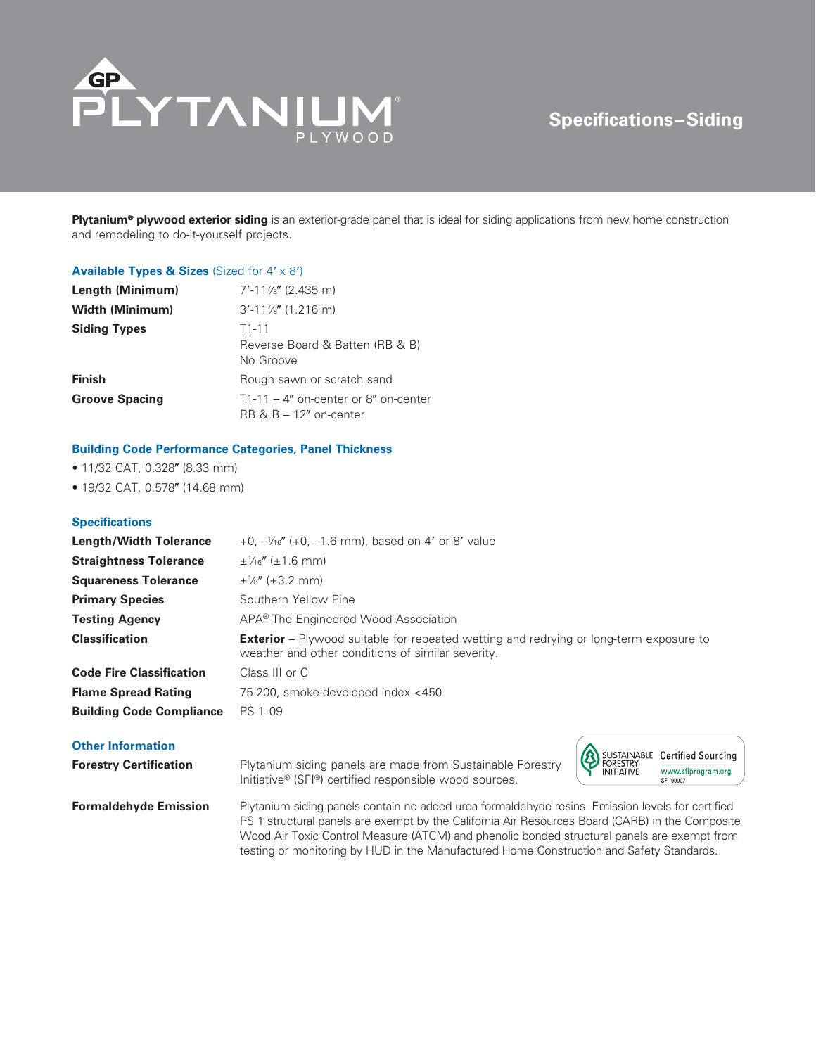

# **Specifications–Siding**

**Plytanium® plywood exterior siding** is an exterior-grade panel that is ideal for siding applications from new home construction and remodeling to do-it-yourself projects.

#### **Available Types & Sizes** (Sized for  $4' \times 8'$ )

| Length (Minimum)       | $7'$ -11%" (2.435 m)                                                 |  |  |
|------------------------|----------------------------------------------------------------------|--|--|
| <b>Width (Minimum)</b> | $3'$ -11%" (1.216 m)                                                 |  |  |
| <b>Siding Types</b>    | $T1-11$<br>Reverse Board & Batten (RB & B)<br>No Groove              |  |  |
| <b>Finish</b>          | Rough sawn or scratch sand                                           |  |  |
| <b>Groove Spacing</b>  | $T1-11 - 4$ " on-center or 8" on-center<br>$RB \& B - 12"$ on-center |  |  |

#### **Building Code Performance Categories, Panel Thickness**

- $\bullet$  11/32 CAT, 0.328" (8.33 mm)
- 19/32 CAT, 0.578" (14.68 mm)

### **Specifications**

| <b>Length/Width Tolerance</b>   | $+0$ , $-\frac{1}{16}$ , (+0, -1.6 mm), based on 4' or 8' value                                                                                    |
|---------------------------------|----------------------------------------------------------------------------------------------------------------------------------------------------|
| <b>Straightness Tolerance</b>   | $\pm\frac{1}{16}$ ( $\pm1.6$ mm)                                                                                                                   |
| <b>Squareness Tolerance</b>     | $\pm\frac{1}{8}$ " ( $\pm 3.2$ mm)                                                                                                                 |
| <b>Primary Species</b>          | Southern Yellow Pine                                                                                                                               |
| <b>Testing Agency</b>           | APA <sup>®</sup> -The Engineered Wood Association                                                                                                  |
|                                 |                                                                                                                                                    |
| <b>Classification</b>           | <b>Exterior</b> – Plywood suitable for repeated wetting and redrying or long-term exposure to<br>weather and other conditions of similar severity. |
| <b>Code Fire Classification</b> | Class III or C                                                                                                                                     |
| <b>Flame Spread Rating</b>      | 75-200, smoke-developed index <450                                                                                                                 |

## **Other Information**

**Forestry Certification Plytanium siding panels are made from Sustainable Forestry** Initiative® (SFI®) certified responsible wood sources.



**Formaldehyde Emission** Plytanium siding panels contain no added urea formaldehyde resins. Emission levels for certified PS 1 structural panels are exempt by the California Air Resources Board (CARB) in the Composite Wood Air Toxic Control Measure (ATCM) and phenolic bonded structural panels are exempt from testing or monitoring by HUD in the Manufactured Home Construction and Safety Standards.